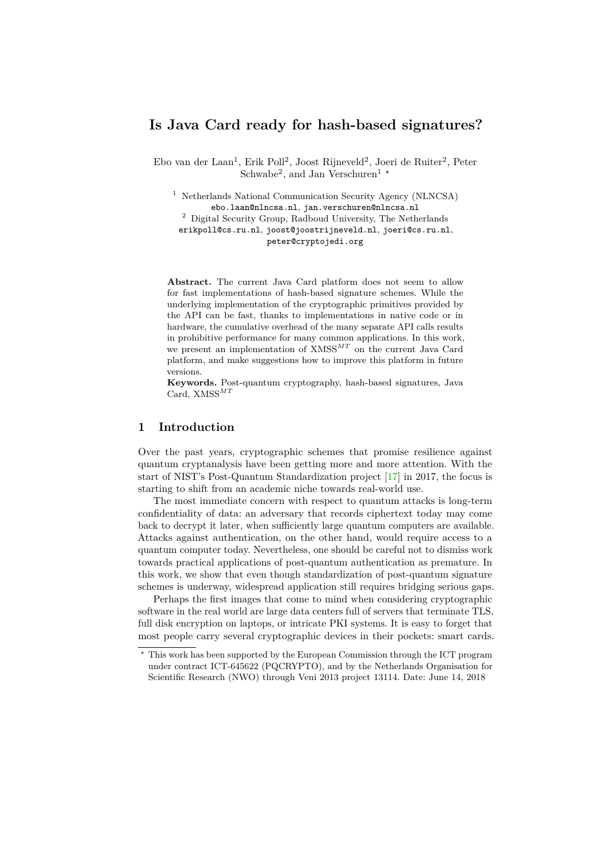# <span id="page-0-0"></span>**Is Java Card ready for hash-based signatures?**

Ebo van der Laan<sup>1</sup>, Erik Poll<sup>2</sup>, Joost Rijneveld<sup>2</sup>, Joeri de Ruiter<sup>2</sup>, Peter Schwabe<sup>2</sup>, and Jan Verschuren<sup>1</sup><sup>\*</sup>

<sup>1</sup> Netherlands National Communication Security Agency (NLNCSA) ebo.laan@nlncsa.nl, jan.verschuren@nlncsa.nl <sup>2</sup> Digital Security Group, Radboud University, The Netherlands erikpoll@cs.ru.nl, joost@joostrijneveld.nl, joeri@cs.ru.nl, peter@cryptojedi.org

**Abstract.** The current Java Card platform does not seem to allow for fast implementations of hash-based signature schemes. While the underlying implementation of the cryptographic primitives provided by the API can be fast, thanks to implementations in native code or in hardware, the cumulative overhead of the many separate API calls results in prohibitive performance for many common applications. In this work, we present an implementation of  $XMSS^{MT}$  on the current Java Card platform, and make suggestions how to improve this platform in future versions.

**Keywords.** Post-quantum cryptography, hash-based signatures, Java Card, XMSS*MT*

## **1 Introduction**

Over the past years, cryptographic schemes that promise resilience against quantum cryptanalysis have been getting more and more attention. With the start of NIST's Post-Quantum Standardization project [\[17\]](#page-15-0) in 2017, the focus is starting to shift from an academic niche towards real-world use.

The most immediate concern with respect to quantum attacks is long-term confidentiality of data: an adversary that records ciphertext today may come back to decrypt it later, when sufficiently large quantum computers are available. Attacks against authentication, on the other hand, would require access to a quantum computer today. Nevertheless, one should be careful not to dismiss work towards practical applications of post-quantum authentication as premature. In this work, we show that even though standardization of post-quantum signature schemes is underway, widespread application still requires bridging serious gaps.

Perhaps the first images that come to mind when considering cryptographic software in the real world are large data centers full of servers that terminate TLS, full disk encryption on laptops, or intricate PKI systems. It is easy to forget that most people carry several cryptographic devices in their pockets: smart cards.

*<sup>?</sup>* This work has been supported by the European Commission through the ICT program under contract ICT-645622 (PQCRYPTO), and by the Netherlands Organisation for Scientific Research (NWO) through Veni 2013 project 13114. Date: June 14, 2018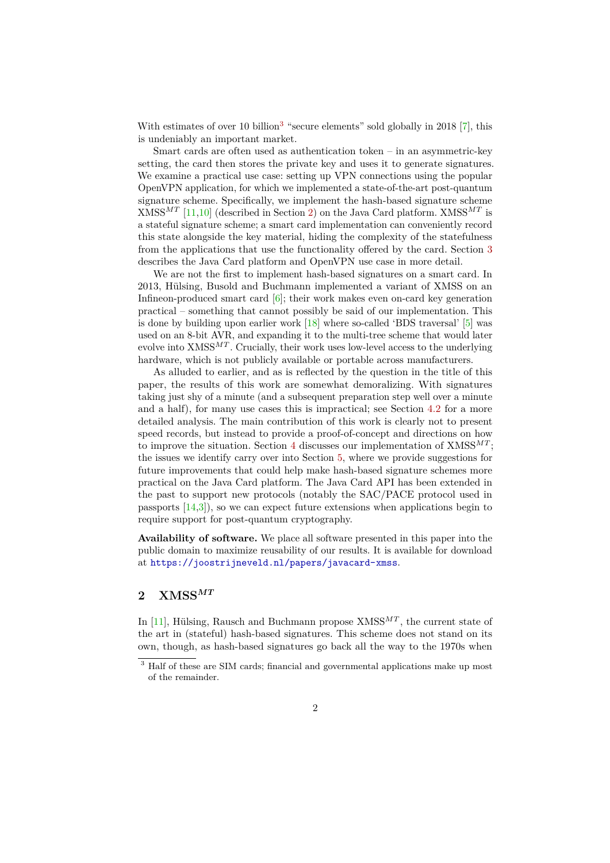<span id="page-1-2"></span>With estimates of over 10 billion<sup>[3](#page-1-0)</sup> "secure elements" sold globally in 2018 [\[7\]](#page-14-0), this is undeniably an important market.

Smart cards are often used as authentication token – in an asymmetric-key setting, the card then stores the private key and uses it to generate signatures. We examine a practical use case: setting up VPN connections using the popular OpenVPN application, for which we implemented a state-of-the-art post-quantum signature scheme. Specifically, we implement the hash-based signature scheme  $XMSS<sup>MT</sup>$  [\[11,](#page-15-1)[10\]](#page-15-2) (described in Section [2\)](#page-1-1) on the Java Card platform.  $XMSS<sup>MT</sup>$  is a stateful signature scheme; a smart card implementation can conveniently record this state alongside the key material, hiding the complexity of the statefulness from the applications that use the functionality offered by the card. Section [3](#page-5-0) describes the Java Card platform and OpenVPN use case in more detail.

We are not the first to implement hash-based signatures on a smart card. In 2013, Hülsing, Busold and Buchmann implemented a variant of XMSS on an Infineon-produced smart card [\[6\]](#page-14-1); their work makes even on-card key generation practical – something that cannot possibly be said of our implementation. This is done by building upon earlier work [\[18\]](#page-15-3) where so-called 'BDS traversal' [\[5\]](#page-14-2) was used on an 8-bit AVR, and expanding it to the multi-tree scheme that would later evolve into XMSS*MT* . Crucially, their work uses low-level access to the underlying hardware, which is not publicly available or portable across manufacturers.

As alluded to earlier, and as is reflected by the question in the title of this paper, the results of this work are somewhat demoralizing. With signatures taking just shy of a minute (and a subsequent preparation step well over a minute and a half), for many use cases this is impractical; see Section [4.2](#page-9-0) for a more detailed analysis. The main contribution of this work is clearly not to present speed records, but instead to provide a proof-of-concept and directions on how to improve the situation. Section [4](#page-6-0) discusses our implementation of  $XMSS<sup>MT</sup>$ ; the issues we identify carry over into Section [5,](#page-10-0) where we provide suggestions for future improvements that could help make hash-based signature schemes more practical on the Java Card platform. The Java Card API has been extended in the past to support new protocols (notably the SAC/PACE protocol used in passports [\[14](#page-15-4)[,3\]](#page-14-3)), so we can expect future extensions when applications begin to require support for post-quantum cryptography.

**Availability of software.** We place all software presented in this paper into the public domain to maximize reusability of our results. It is available for download at <https://joostrijneveld.nl/papers/javacard-xmss>.

# <span id="page-1-1"></span>**2 XMSS***MT*

In [\[11\]](#page-15-1), Hülsing, Rausch and Buchmann propose XMSS*MT* , the current state of the art in (stateful) hash-based signatures. This scheme does not stand on its own, though, as hash-based signatures go back all the way to the 1970s when

<span id="page-1-0"></span><sup>&</sup>lt;sup>3</sup> Half of these are SIM cards; financial and governmental applications make up most of the remainder.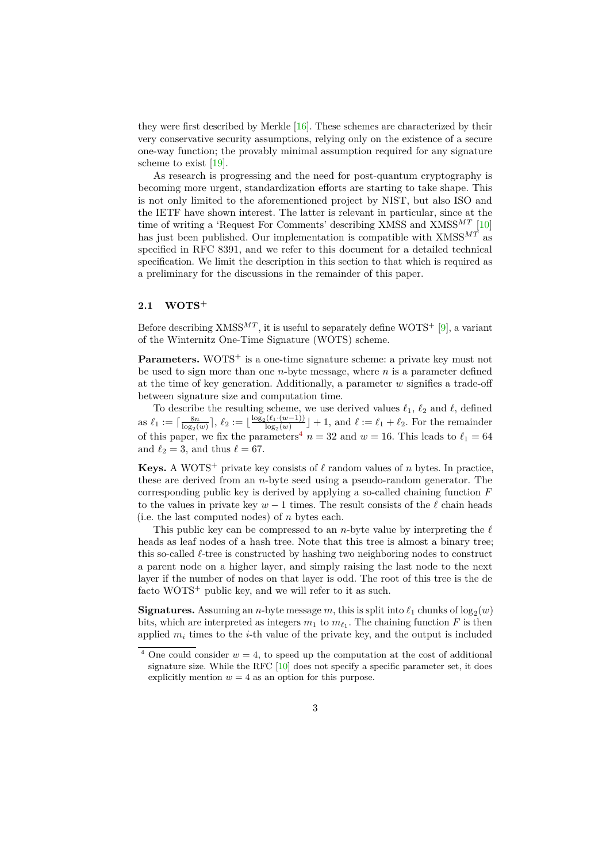<span id="page-2-2"></span>they were first described by Merkle [\[16\]](#page-15-5). These schemes are characterized by their very conservative security assumptions, relying only on the existence of a secure one-way function; the provably minimal assumption required for any signature scheme to exist [\[19\]](#page-15-6).

As research is progressing and the need for post-quantum cryptography is becoming more urgent, standardization efforts are starting to take shape. This is not only limited to the aforementioned project by NIST, but also ISO and the IETF have shown interest. The latter is relevant in particular, since at the time of writing a 'Request For Comments' describing XMSS and XMSS*MT* [\[10\]](#page-15-2) has just been published. Our implementation is compatible with XMSS*MT* as specified in RFC 8391, and we refer to this document for a detailed technical specification. We limit the description in this section to that which is required as a preliminary for the discussions in the remainder of this paper.

### <span id="page-2-1"></span>**2.1 WOTS<sup>+</sup>**

Before describing  $XMSS^{MT}$ , it is useful to separately define  $WOTS^{+}$  [\[9\]](#page-15-7), a variant of the Winternitz One-Time Signature (WOTS) scheme.

**Parameters.** WOTS<sup>+</sup> is a one-time signature scheme: a private key must not be used to sign more than one *n*-byte message, where *n* is a parameter defined at the time of key generation. Additionally, a parameter *w* signifies a trade-off between signature size and computation time.

To describe the resulting scheme, we use derived values  $\ell_1$ ,  $\ell_2$  and  $\ell$ , defined as  $\ell_1 := \lceil \frac{8n}{\log_2(w)} \rceil$ ,  $\ell_2 := \lfloor \frac{\log_2(\ell_1 \cdot (w-1))}{\log_2(w)} \rfloor$  $\lfloor \frac{(l_1 \cdot (w-1))}{\log_2(w)} \rfloor + 1$ , and  $\ell := \ell_1 + \ell_2$ . For the remainder of this paper, we fix the parameters<sup>[4](#page-2-0)</sup>  $n = 32$  and  $w = 16$ . This leads to  $\ell_1 = 64$ and  $\ell_2 = 3$ , and thus  $\ell = 67$ .

**Keys.** A WOTS<sup>+</sup> private key consists of  $\ell$  random values of *n* bytes. In practice, these are derived from an *n*-byte seed using a pseudo-random generator. The corresponding public key is derived by applying a so-called chaining function *F* to the values in private key  $w - 1$  times. The result consists of the  $\ell$  chain heads (i.e. the last computed nodes) of *n* bytes each.

This public key can be compressed to an *n*-byte value by interpreting the  $\ell$ heads as leaf nodes of a hash tree. Note that this tree is almost a binary tree; this so-called  $\ell$ -tree is constructed by hashing two neighboring nodes to construct a parent node on a higher layer, and simply raising the last node to the next layer if the number of nodes on that layer is odd. The root of this tree is the de facto  $WOTS^+$  public key, and we will refer to it as such.

**Signatures.** Assuming an *n*-byte message *m*, this is split into  $\ell_1$  chunks of  $\log_2(w)$ bits, which are interpreted as integers  $m_1$  to  $m_{\ell_1}$ . The chaining function  $F$  is then applied  $m_i$  times to the *i*-th value of the private key, and the output is included

<span id="page-2-0"></span><sup>&</sup>lt;sup>4</sup> One could consider  $w = 4$ , to speed up the computation at the cost of additional signature size. While the RFC [\[10\]](#page-15-2) does not specify a specific parameter set, it does explicitly mention  $w = 4$  as an option for this purpose.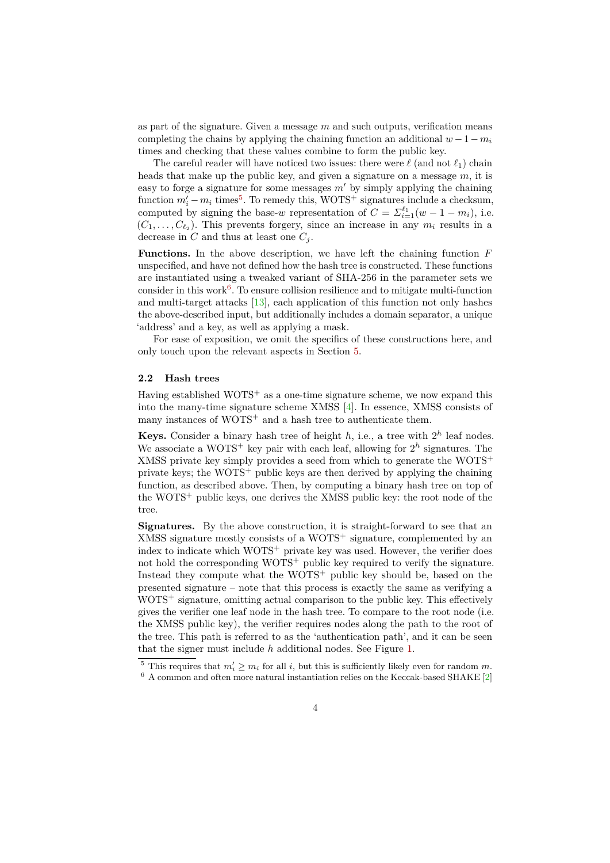<span id="page-3-2"></span>as part of the signature. Given a message *m* and such outputs, verification means completing the chains by applying the chaining function an additional  $w - 1 - m_i$ times and checking that these values combine to form the public key.

The careful reader will have noticed two issues: there were  $\ell$  (and not  $\ell_1$ ) chain heads that make up the public key, and given a signature on a message *m*, it is easy to forge a signature for some messages  $m'$  by simply applying the chaining function  $m'_i - m_i$  times<sup>[5](#page-3-0)</sup>. To remedy this, WOTS<sup>+</sup> signatures include a checksum, computed by signing the base-*w* representation of  $C = \sum_{i=1}^{\ell_1} (w - 1 - m_i)$ , i.e.  $(C_1, \ldots, C_{\ell_2})$ . This prevents forgery, since an increase in any  $m_i$  results in a decrease in  $C$  and thus at least one  $C_j$ .

**Functions.** In the above description, we have left the chaining function *F* unspecified, and have not defined how the hash tree is constructed. These functions are instantiated using a tweaked variant of SHA-256 in the parameter sets we consider in this work<sup>[6](#page-3-1)</sup>. To ensure collision resilience and to mitigate multi-function and multi-target attacks [\[13\]](#page-15-8), each application of this function not only hashes the above-described input, but additionally includes a domain separator, a unique 'address' and a key, as well as applying a mask.

For ease of exposition, we omit the specifics of these constructions here, and only touch upon the relevant aspects in Section [5.](#page-10-0)

### **2.2 Hash trees**

Having established  $WOTS^+$  as a one-time signature scheme, we now expand this into the many-time signature scheme XMSS [\[4\]](#page-14-4). In essence, XMSS consists of many instances of WOTS<sup>+</sup> and a hash tree to authenticate them.

**Keys.** Consider a binary hash tree of height  $h$ , i.e., a tree with  $2^h$  leaf nodes. We associate a WOTS<sup>+</sup> key pair with each leaf, allowing for  $2<sup>h</sup>$  signatures. The XMSS private key simply provides a seed from which to generate the WOTS<sup>+</sup> private keys; the  $WOTS^+$  public keys are then derived by applying the chaining function, as described above. Then, by computing a binary hash tree on top of the WOTS<sup>+</sup> public keys, one derives the XMSS public key: the root node of the tree.

**Signatures.** By the above construction, it is straight-forward to see that an XMSS signature mostly consists of a WOTS<sup>+</sup> signature, complemented by an index to indicate which  $WOTS^+$  private key was used. However, the verifier does not hold the corresponding  $WOTS^+$  public key required to verify the signature. Instead they compute what the  $WOTS^+$  public key should be, based on the presented signature – note that this process is exactly the same as verifying a  $WOTS<sup>+</sup>$  signature, omitting actual comparison to the public key. This effectively gives the verifier one leaf node in the hash tree. To compare to the root node (i.e. the XMSS public key), the verifier requires nodes along the path to the root of the tree. This path is referred to as the 'authentication path', and it can be seen that the signer must include *h* additional nodes. See Figure [1.](#page-4-0)

<span id="page-3-0"></span><sup>&</sup>lt;sup>5</sup> This requires that  $m'_i \geq m_i$  for all *i*, but this is sufficiently likely even for random *m*.

<span id="page-3-1"></span> $^6$  A common and often more natural instantiation relies on the Keccak-based SHAKE  $[2]$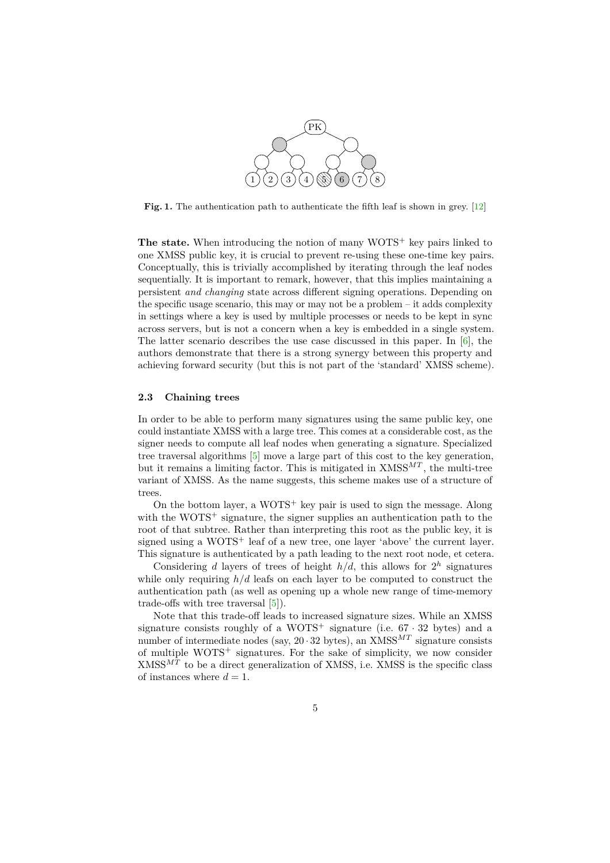<span id="page-4-1"></span>

<span id="page-4-0"></span>Fig. 1. The authentication path to authenticate the fifth leaf is shown in grey. [\[12\]](#page-15-9)

**The state.** When introducing the notion of many WOTS<sup>+</sup> key pairs linked to one XMSS public key, it is crucial to prevent re-using these one-time key pairs. Conceptually, this is trivially accomplished by iterating through the leaf nodes sequentially. It is important to remark, however, that this implies maintaining a persistent *and changing* state across different signing operations. Depending on the specific usage scenario, this may or may not be a problem – it adds complexity in settings where a key is used by multiple processes or needs to be kept in sync across servers, but is not a concern when a key is embedded in a single system. The latter scenario describes the use case discussed in this paper. In [\[6\]](#page-14-1), the authors demonstrate that there is a strong synergy between this property and achieving forward security (but this is not part of the 'standard' XMSS scheme).

### **2.3 Chaining trees**

In order to be able to perform many signatures using the same public key, one could instantiate XMSS with a large tree. This comes at a considerable cost, as the signer needs to compute all leaf nodes when generating a signature. Specialized tree traversal algorithms [\[5\]](#page-14-2) move a large part of this cost to the key generation, but it remains a limiting factor. This is mitigated in XMSS*MT* , the multi-tree variant of XMSS. As the name suggests, this scheme makes use of a structure of trees.

On the bottom layer, a WOTS<sup>+</sup> key pair is used to sign the message. Along with the  $WOTS^+$  signature, the signer supplies an authentication path to the root of that subtree. Rather than interpreting this root as the public key, it is signed using a  $WOTS^+$  leaf of a new tree, one layer 'above' the current layer. This signature is authenticated by a path leading to the next root node, et cetera.

Considering *d* layers of trees of height  $h/d$ , this allows for  $2<sup>h</sup>$  signatures while only requiring  $h/d$  leafs on each layer to be computed to construct the authentication path (as well as opening up a whole new range of time-memory trade-offs with tree traversal [\[5\]](#page-14-2)).

Note that this trade-off leads to increased signature sizes. While an XMSS signature consists roughly of a WOTS<sup>+</sup> signature (i.e.  $67 \cdot 32$  bytes) and a number of intermediate nodes (say,  $20 \cdot 32$  bytes), an XMSS<sup>MT</sup> signature consists of multiple  $WOTS^+$  signatures. For the sake of simplicity, we now consider XMSS*MT* to be a direct generalization of XMSS, i.e. XMSS is the specific class of instances where  $d = 1$ .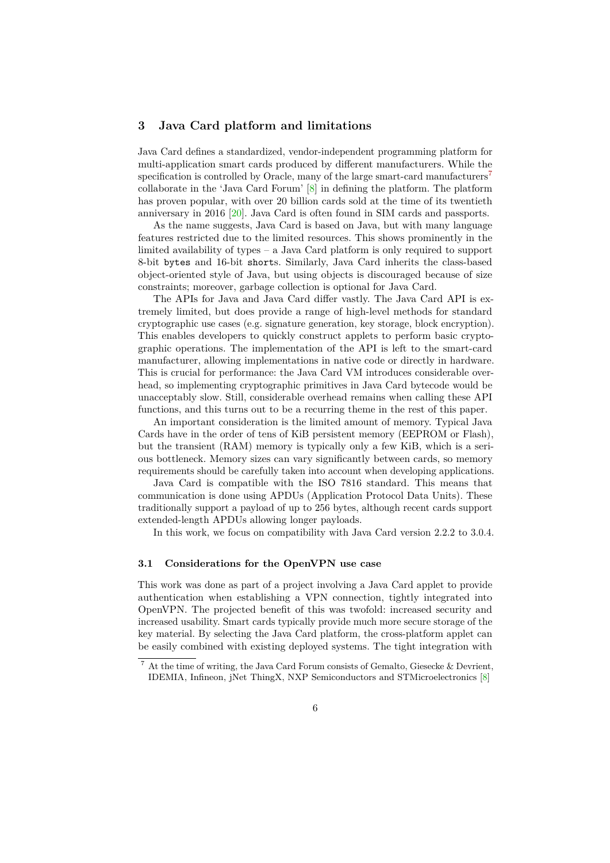### <span id="page-5-2"></span><span id="page-5-0"></span>**3 Java Card platform and limitations**

Java Card defines a standardized, vendor-independent programming platform for multi-application smart cards produced by different manufacturers. While the specification is controlled by Oracle, many of the large smart-card manufacturers<sup>[7](#page-5-1)</sup> collaborate in the 'Java Card Forum' [\[8\]](#page-14-6) in defining the platform. The platform has proven popular, with over 20 billion cards sold at the time of its twentieth anniversary in 2016 [\[20\]](#page-15-10). Java Card is often found in SIM cards and passports.

As the name suggests, Java Card is based on Java, but with many language features restricted due to the limited resources. This shows prominently in the limited availability of types – a Java Card platform is only required to support 8-bit bytes and 16-bit shorts. Similarly, Java Card inherits the class-based object-oriented style of Java, but using objects is discouraged because of size constraints; moreover, garbage collection is optional for Java Card.

The APIs for Java and Java Card differ vastly. The Java Card API is extremely limited, but does provide a range of high-level methods for standard cryptographic use cases (e.g. signature generation, key storage, block encryption). This enables developers to quickly construct applets to perform basic cryptographic operations. The implementation of the API is left to the smart-card manufacturer, allowing implementations in native code or directly in hardware. This is crucial for performance: the Java Card VM introduces considerable overhead, so implementing cryptographic primitives in Java Card bytecode would be unacceptably slow. Still, considerable overhead remains when calling these API functions, and this turns out to be a recurring theme in the rest of this paper.

An important consideration is the limited amount of memory. Typical Java Cards have in the order of tens of KiB persistent memory (EEPROM or Flash), but the transient (RAM) memory is typically only a few KiB, which is a serious bottleneck. Memory sizes can vary significantly between cards, so memory requirements should be carefully taken into account when developing applications.

Java Card is compatible with the ISO 7816 standard. This means that communication is done using APDUs (Application Protocol Data Units). These traditionally support a payload of up to 256 bytes, although recent cards support extended-length APDUs allowing longer payloads.

In this work, we focus on compatibility with Java Card version 2.2.2 to 3.0.4.

### **3.1 Considerations for the OpenVPN use case**

This work was done as part of a project involving a Java Card applet to provide authentication when establishing a VPN connection, tightly integrated into OpenVPN. The projected benefit of this was twofold: increased security and increased usability. Smart cards typically provide much more secure storage of the key material. By selecting the Java Card platform, the cross-platform applet can be easily combined with existing deployed systems. The tight integration with

<span id="page-5-1"></span> $^7$  At the time of writing, the Java Card Forum consists of Gemalto, Giesecke  $\&$  Devrient, IDEMIA, Infineon, jNet ThingX, NXP Semiconductors and STMicroelectronics [\[8\]](#page-14-6)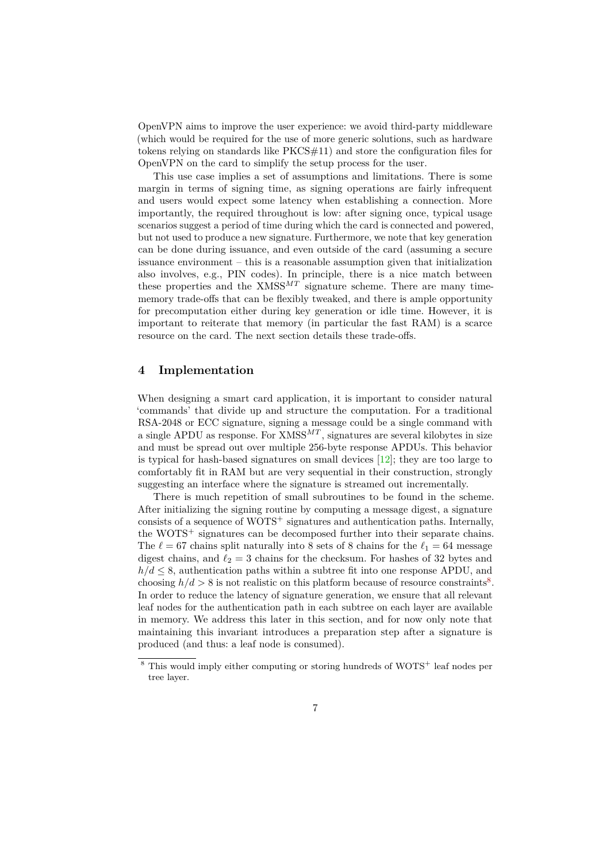<span id="page-6-2"></span>OpenVPN aims to improve the user experience: we avoid third-party middleware (which would be required for the use of more generic solutions, such as hardware tokens relying on standards like PKCS#11) and store the configuration files for OpenVPN on the card to simplify the setup process for the user.

This use case implies a set of assumptions and limitations. There is some margin in terms of signing time, as signing operations are fairly infrequent and users would expect some latency when establishing a connection. More importantly, the required throughout is low: after signing once, typical usage scenarios suggest a period of time during which the card is connected and powered, but not used to produce a new signature. Furthermore, we note that key generation can be done during issuance, and even outside of the card (assuming a secure issuance environment – this is a reasonable assumption given that initialization also involves, e.g., PIN codes). In principle, there is a nice match between these properties and the  $XMSS<sup>MT</sup>$  signature scheme. There are many timememory trade-offs that can be flexibly tweaked, and there is ample opportunity for precomputation either during key generation or idle time. However, it is important to reiterate that memory (in particular the fast RAM) is a scarce resource on the card. The next section details these trade-offs.

### <span id="page-6-0"></span>**4 Implementation**

When designing a smart card application, it is important to consider natural 'commands' that divide up and structure the computation. For a traditional RSA-2048 or ECC signature, signing a message could be a single command with a single APDU as response. For  $XMSS<sup>MT</sup>$ , signatures are several kilobytes in size and must be spread out over multiple 256-byte response APDUs. This behavior is typical for hash-based signatures on small devices  $[12]$ ; they are too large to comfortably fit in RAM but are very sequential in their construction, strongly suggesting an interface where the signature is streamed out incrementally.

There is much repetition of small subroutines to be found in the scheme. After initializing the signing routine by computing a message digest, a signature consists of a sequence of  $WOTS^+$  signatures and authentication paths. Internally, the WOTS<sup>+</sup> signatures can be decomposed further into their separate chains. The  $\ell = 67$  chains split naturally into 8 sets of 8 chains for the  $\ell_1 = 64$  message digest chains, and  $\ell_2 = 3$  chains for the checksum. For hashes of 32 bytes and  $h/d \leq 8$ , authentication paths within a subtree fit into one response APDU, and choosing  $h/d > 8$  $h/d > 8$  is not realistic on this platform because of resource constraints<sup>8</sup>. In order to reduce the latency of signature generation, we ensure that all relevant leaf nodes for the authentication path in each subtree on each layer are available in memory. We address this later in this section, and for now only note that maintaining this invariant introduces a preparation step after a signature is produced (and thus: a leaf node is consumed).

<span id="page-6-1"></span> $^8$  This would imply either computing or storing hundreds of  $\rm WOTS^+$  leaf nodes per tree layer.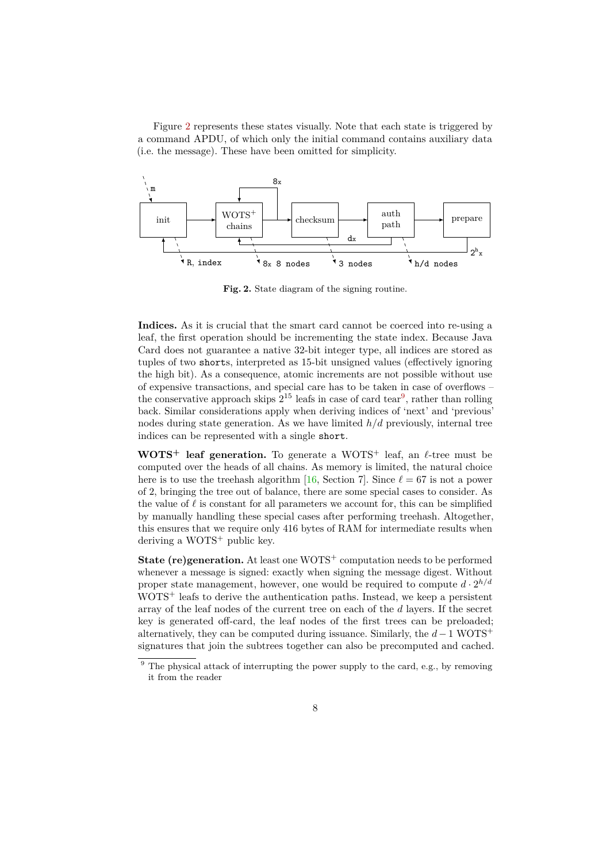<span id="page-7-2"></span>Figure [2](#page-7-0) represents these states visually. Note that each state is triggered by a command APDU, of which only the initial command contains auxiliary data (i.e. the message). These have been omitted for simplicity.



<span id="page-7-0"></span>**Fig. 2.** State diagram of the signing routine.

**Indices.** As it is crucial that the smart card cannot be coerced into re-using a leaf, the first operation should be incrementing the state index. Because Java Card does not guarantee a native 32-bit integer type, all indices are stored as tuples of two shorts, interpreted as 15-bit unsigned values (effectively ignoring the high bit). As a consequence, atomic increments are not possible without use of expensive transactions, and special care has to be taken in case of overflows – the conservative approach skips  $2^{15}$  leafs in case of card tear<sup>[9](#page-7-1)</sup>, rather than rolling back. Similar considerations apply when deriving indices of 'next' and 'previous' nodes during state generation. As we have limited *h/d* previously, internal tree indices can be represented with a single short.

**WOTS<sup>+</sup>** leaf generation. To generate a WOTS<sup>+</sup> leaf, an  $\ell$ -tree must be computed over the heads of all chains. As memory is limited, the natural choice here is to use the treehash algorithm [\[16,](#page-15-5) Section 7]. Since  $\ell = 67$  is not a power of 2, bringing the tree out of balance, there are some special cases to consider. As the value of  $\ell$  is constant for all parameters we account for, this can be simplified by manually handling these special cases after performing treehash. Altogether, this ensures that we require only 416 bytes of RAM for intermediate results when deriving a WOTS<sup>+</sup> public key.

**State (re)generation.** At least one WOTS<sup>+</sup> computation needs to be performed whenever a message is signed: exactly when signing the message digest. Without proper state management, however, one would be required to compute  $d \cdot 2^{h/d}$ WOTS<sup>+</sup> leafs to derive the authentication paths. Instead, we keep a persistent array of the leaf nodes of the current tree on each of the *d* layers. If the secret key is generated off-card, the leaf nodes of the first trees can be preloaded; alternatively, they can be computed during issuance. Similarly, the  $d-1$  WOTS<sup>+</sup> signatures that join the subtrees together can also be precomputed and cached.

<span id="page-7-1"></span><sup>&</sup>lt;sup>9</sup> The physical attack of interrupting the power supply to the card, e.g., by removing it from the reader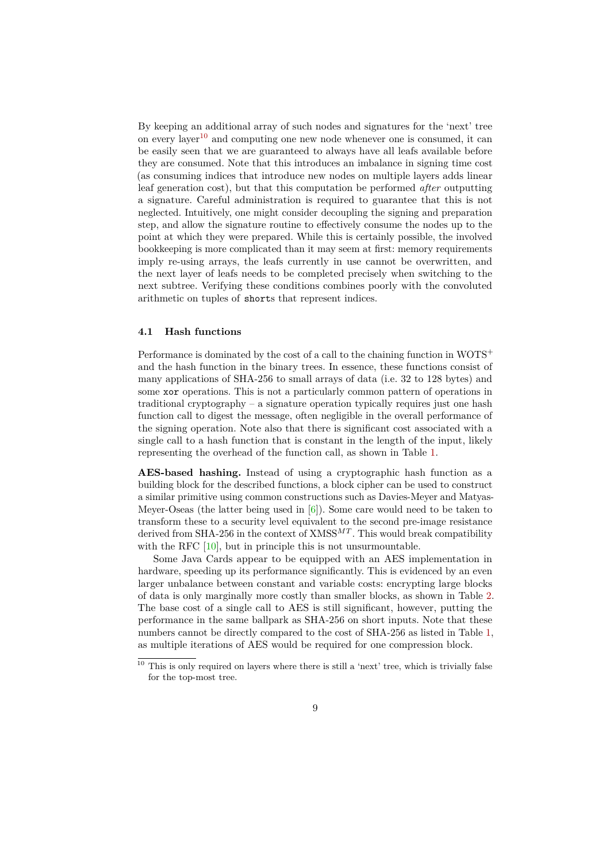<span id="page-8-2"></span>By keeping an additional array of such nodes and signatures for the 'next' tree on every layer<sup>[10](#page-8-0)</sup> and computing one new node whenever one is consumed, it can be easily seen that we are guaranteed to always have all leafs available before they are consumed. Note that this introduces an imbalance in signing time cost (as consuming indices that introduce new nodes on multiple layers adds linear leaf generation cost), but that this computation be performed *after* outputting a signature. Careful administration is required to guarantee that this is not neglected. Intuitively, one might consider decoupling the signing and preparation step, and allow the signature routine to effectively consume the nodes up to the point at which they were prepared. While this is certainly possible, the involved bookkeeping is more complicated than it may seem at first: memory requirements imply re-using arrays, the leafs currently in use cannot be overwritten, and the next layer of leafs needs to be completed precisely when switching to the next subtree. Verifying these conditions combines poorly with the convoluted arithmetic on tuples of shorts that represent indices.

### <span id="page-8-1"></span>**4.1 Hash functions**

Performance is dominated by the cost of a call to the chaining function in  $WOTS^+$ and the hash function in the binary trees. In essence, these functions consist of many applications of SHA-256 to small arrays of data (i.e. 32 to 128 bytes) and some xor operations. This is not a particularly common pattern of operations in traditional cryptography – a signature operation typically requires just one hash function call to digest the message, often negligible in the overall performance of the signing operation. Note also that there is significant cost associated with a single call to a hash function that is constant in the length of the input, likely representing the overhead of the function call, as shown in Table [1.](#page-9-1)

**AES-based hashing.** Instead of using a cryptographic hash function as a building block for the described functions, a block cipher can be used to construct a similar primitive using common constructions such as Davies-Meyer and Matyas-Meyer-Oseas (the latter being used in [\[6\]](#page-14-1)). Some care would need to be taken to transform these to a security level equivalent to the second pre-image resistance derived from SHA-256 in the context of  $XMSS<sup>MT</sup>$ . This would break compatibility with the RFC  $[10]$ , but in principle this is not unsurmountable.

Some Java Cards appear to be equipped with an AES implementation in hardware, speeding up its performance significantly. This is evidenced by an even larger unbalance between constant and variable costs: encrypting large blocks of data is only marginally more costly than smaller blocks, as shown in Table [2.](#page-9-2) The base cost of a single call to AES is still significant, however, putting the performance in the same ballpark as SHA-256 on short inputs. Note that these numbers cannot be directly compared to the cost of SHA-256 as listed in Table [1,](#page-9-1) as multiple iterations of AES would be required for one compression block.

<span id="page-8-0"></span> $^{\rm 10}$  This is only required on layers where there is still a 'next' tree, which is trivially false for the top-most tree.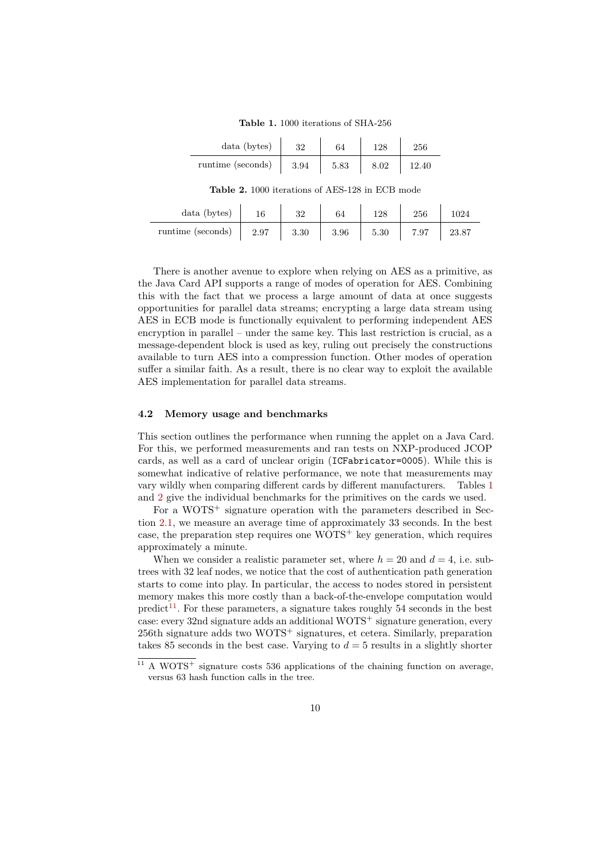<span id="page-9-1"></span>**Table 1.** 1000 iterations of SHA-256

| data (bytes)      | 32   | 64   | 128  | 256   |
|-------------------|------|------|------|-------|
| runtime (seconds) | 3.94 | 5.83 | 8.02 | 12.40 |

<span id="page-9-2"></span>**Table 2.** 1000 iterations of AES-128 in ECB mode

| data (bytes)      |      | 29   | 64   | 128  | 256  | 1024  |
|-------------------|------|------|------|------|------|-------|
| runtime (seconds) | 2.97 | 3.30 | 3.96 | 5.30 | 7.97 | 23.87 |

There is another avenue to explore when relying on AES as a primitive, as the Java Card API supports a range of modes of operation for AES. Combining this with the fact that we process a large amount of data at once suggests opportunities for parallel data streams; encrypting a large data stream using AES in ECB mode is functionally equivalent to performing independent AES encryption in parallel – under the same key. This last restriction is crucial, as a message-dependent block is used as key, ruling out precisely the constructions available to turn AES into a compression function. Other modes of operation suffer a similar faith. As a result, there is no clear way to exploit the available AES implementation for parallel data streams.

### <span id="page-9-0"></span>**4.2 Memory usage and benchmarks**

This section outlines the performance when running the applet on a Java Card. For this, we performed measurements and ran tests on NXP-produced JCOP cards, as well as a card of unclear origin (ICFabricator=0005). While this is somewhat indicative of relative performance, we note that measurements may vary wildly when comparing different cards by different manufacturers. Tables [1](#page-9-1) and [2](#page-9-2) give the individual benchmarks for the primitives on the cards we used.

For a  $WOTS^+$  signature operation with the parameters described in Section [2.1,](#page-2-1) we measure an average time of approximately 33 seconds. In the best case, the preparation step requires one  $WOTS^+$  key generation, which requires approximately a minute.

When we consider a realistic parameter set, where  $h = 20$  and  $d = 4$ , i.e. subtrees with 32 leaf nodes, we notice that the cost of authentication path generation starts to come into play. In particular, the access to nodes stored in persistent memory makes this more costly than a back-of-the-envelope computation would predict<sup>[11](#page-9-3)</sup>. For these parameters, a signature takes roughly 54 seconds in the best case: every 32nd signature adds an additional WOTS<sup>+</sup> signature generation, every  $256th$  signature adds two  $WOTS^+$  signatures, et cetera. Similarly, preparation takes 85 seconds in the best case. Varying to  $d = 5$  results in a slightly shorter

<span id="page-9-3"></span> $11$  A WOTS<sup>+</sup> signature costs 536 applications of the chaining function on average, versus 63 hash function calls in the tree.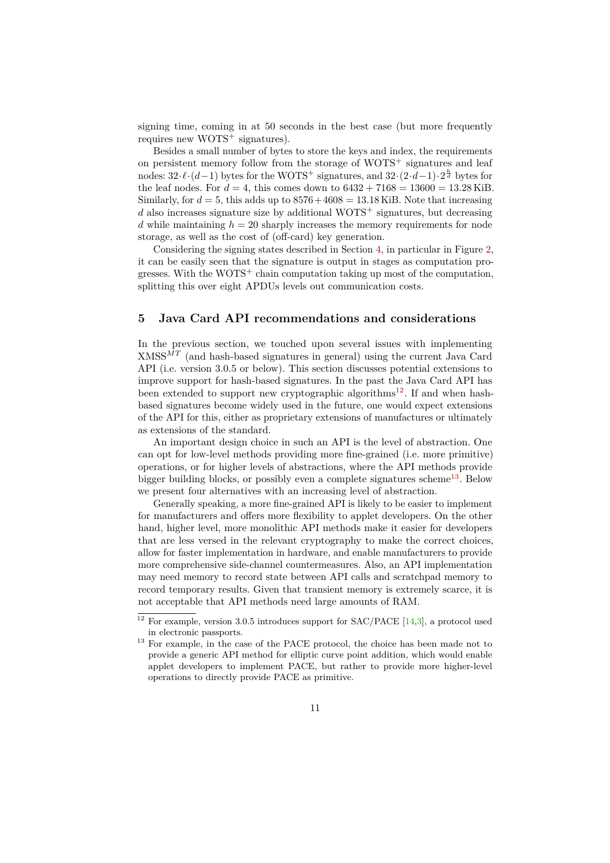<span id="page-10-3"></span>signing time, coming in at 50 seconds in the best case (but more frequently requires new  $WOTS^+$  signatures).

Besides a small number of bytes to store the keys and index, the requirements on persistent memory follow from the storage of  $WOTS^+$  signatures and leaf nodes:  $32 \cdot \ell \cdot (d-1)$  bytes for the WOTS<sup>+</sup> signatures, and  $32 \cdot (2 \cdot d-1) \cdot 2^{\frac{h}{d}}$  bytes for the leaf nodes. For  $d = 4$ , this comes down to  $6432 + 7168 = 13600 = 13.28$  KiB. Similarly, for  $d = 5$ , this adds up to  $8576 + 4608 = 13.18$  KiB. Note that increasing d also increases signature size by additional WOTS<sup>+</sup> signatures, but decreasing *d* while maintaining  $h = 20$  sharply increases the memory requirements for node storage, as well as the cost of (off-card) key generation.

Considering the signing states described in Section [4,](#page-6-0) in particular in Figure [2,](#page-7-0) it can be easily seen that the signature is output in stages as computation progresses. With the WOTS<sup>+</sup> chain computation taking up most of the computation, splitting this over eight APDUs levels out communication costs.

### <span id="page-10-0"></span>**5 Java Card API recommendations and considerations**

In the previous section, we touched upon several issues with implementing XMSS*MT* (and hash-based signatures in general) using the current Java Card API (i.e. version 3.0.5 or below). This section discusses potential extensions to improve support for hash-based signatures. In the past the Java Card API has been extended to support new cryptographic algorithms<sup>[12](#page-10-1)</sup>. If and when hashbased signatures become widely used in the future, one would expect extensions of the API for this, either as proprietary extensions of manufactures or ultimately as extensions of the standard.

An important design choice in such an API is the level of abstraction. One can opt for low-level methods providing more fine-grained (i.e. more primitive) operations, or for higher levels of abstractions, where the API methods provide bigger building blocks, or possibly even a complete signatures scheme<sup>[13](#page-10-2)</sup>. Below we present four alternatives with an increasing level of abstraction.

Generally speaking, a more fine-grained API is likely to be easier to implement for manufacturers and offers more flexibility to applet developers. On the other hand, higher level, more monolithic API methods make it easier for developers that are less versed in the relevant cryptography to make the correct choices, allow for faster implementation in hardware, and enable manufacturers to provide more comprehensive side-channel countermeasures. Also, an API implementation may need memory to record state between API calls and scratchpad memory to record temporary results. Given that transient memory is extremely scarce, it is not acceptable that API methods need large amounts of RAM.

<span id="page-10-1"></span>For example, version 3.0.5 introduces support for SAC/PACE [\[14,](#page-15-4)[3\]](#page-14-3), a protocol used in electronic passports.

<span id="page-10-2"></span><sup>&</sup>lt;sup>13</sup> For example, in the case of the PACE protocol, the choice has been made not to provide a generic API method for elliptic curve point addition, which would enable applet developers to implement PACE, but rather to provide more higher-level operations to directly provide PACE as primitive.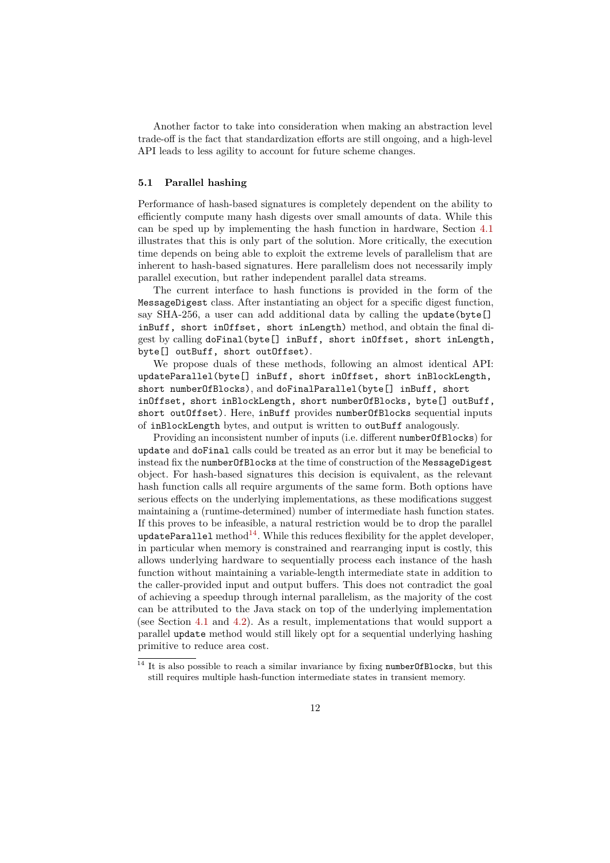Another factor to take into consideration when making an abstraction level trade-off is the fact that standardization efforts are still ongoing, and a high-level API leads to less agility to account for future scheme changes.

#### <span id="page-11-1"></span>**5.1 Parallel hashing**

Performance of hash-based signatures is completely dependent on the ability to efficiently compute many hash digests over small amounts of data. While this can be sped up by implementing the hash function in hardware, Section [4.1](#page-8-1) illustrates that this is only part of the solution. More critically, the execution time depends on being able to exploit the extreme levels of parallelism that are inherent to hash-based signatures. Here parallelism does not necessarily imply parallel execution, but rather independent parallel data streams.

The current interface to hash functions is provided in the form of the MessageDigest class. After instantiating an object for a specific digest function, say SHA-256, a user can add additional data by calling the update(byte[] inBuff, short inOffset, short inLength) method, and obtain the final digest by calling doFinal(byte[] inBuff, short inOffset, short inLength, byte[] outBuff, short outOffset).

We propose duals of these methods, following an almost identical API: updateParallel(byte[] inBuff, short inOffset, short inBlockLength, short numberOfBlocks), and doFinalParallel(byte[] inBuff, short inOffset, short inBlockLength, short numberOfBlocks, byte[] outBuff, short outOffset). Here, inBuff provides numberOfBlocks sequential inputs of inBlockLength bytes, and output is written to outBuff analogously.

Providing an inconsistent number of inputs (i.e. different numberOfBlocks) for update and doFinal calls could be treated as an error but it may be beneficial to instead fix the numberOfBlocks at the time of construction of the MessageDigest object. For hash-based signatures this decision is equivalent, as the relevant hash function calls all require arguments of the same form. Both options have serious effects on the underlying implementations, as these modifications suggest maintaining a (runtime-determined) number of intermediate hash function states. If this proves to be infeasible, a natural restriction would be to drop the parallel updateParallel method $14$ . While this reduces flexibility for the applet developer, in particular when memory is constrained and rearranging input is costly, this allows underlying hardware to sequentially process each instance of the hash function without maintaining a variable-length intermediate state in addition to the caller-provided input and output buffers. This does not contradict the goal of achieving a speedup through internal parallelism, as the majority of the cost can be attributed to the Java stack on top of the underlying implementation (see Section [4.1](#page-8-1) and [4.2\)](#page-9-0). As a result, implementations that would support a parallel update method would still likely opt for a sequential underlying hashing primitive to reduce area cost.

<span id="page-11-0"></span> $^{14}$  It is also possible to reach a similar invariance by fixing  $\texttt{numberOfBlocks},$  but this still requires multiple hash-function intermediate states in transient memory.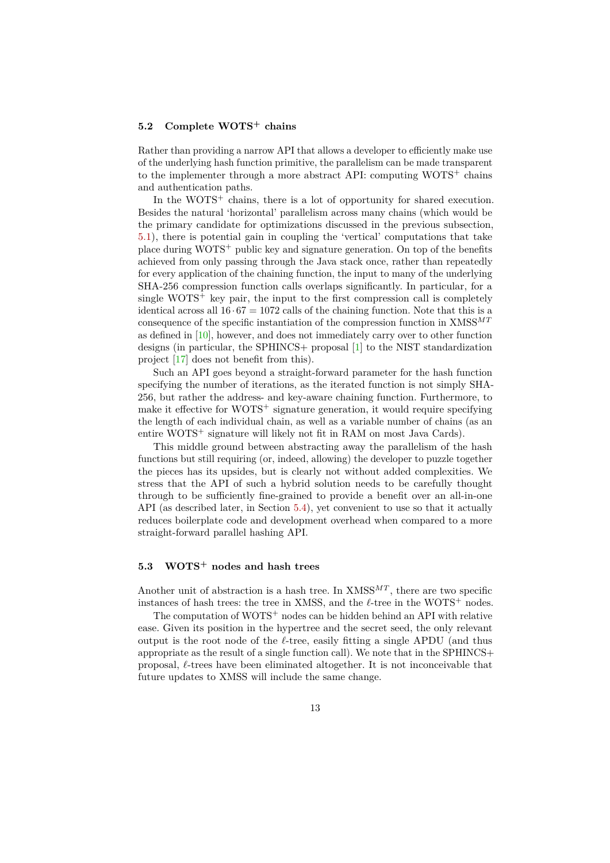### <span id="page-12-0"></span>**5.2 Complete WOTS<sup>+</sup> chains**

Rather than providing a narrow API that allows a developer to efficiently make use of the underlying hash function primitive, the parallelism can be made transparent to the implementer through a more abstract API: computing WOTS<sup>+</sup> chains and authentication paths.

In the  $WOTS^+$  chains, there is a lot of opportunity for shared execution. Besides the natural 'horizontal' parallelism across many chains (which would be the primary candidate for optimizations discussed in the previous subsection, [5.1\)](#page-11-1), there is potential gain in coupling the 'vertical' computations that take place during WOTS<sup>+</sup> public key and signature generation. On top of the benefits achieved from only passing through the Java stack once, rather than repeatedly for every application of the chaining function, the input to many of the underlying SHA-256 compression function calls overlaps significantly. In particular, for a single  $WOTS^{+}$  key pair, the input to the first compression call is completely identical across all  $16 \cdot 67 = 1072$  calls of the chaining function. Note that this is a consequence of the specific instantiation of the compression function in XMSS*MT* as defined in [\[10\]](#page-15-2), however, and does not immediately carry over to other function designs (in particular, the SPHINCS+ proposal [\[1\]](#page-14-7) to the NIST standardization project [\[17\]](#page-15-0) does not benefit from this).

Such an API goes beyond a straight-forward parameter for the hash function specifying the number of iterations, as the iterated function is not simply SHA-256, but rather the address- and key-aware chaining function. Furthermore, to make it effective for  $WOTS^+$  signature generation, it would require specifying the length of each individual chain, as well as a variable number of chains (as an entire WOTS<sup>+</sup> signature will likely not fit in RAM on most Java Cards).

This middle ground between abstracting away the parallelism of the hash functions but still requiring (or, indeed, allowing) the developer to puzzle together the pieces has its upsides, but is clearly not without added complexities. We stress that the API of such a hybrid solution needs to be carefully thought through to be sufficiently fine-grained to provide a benefit over an all-in-one API (as described later, in Section [5.4\)](#page-13-0), yet convenient to use so that it actually reduces boilerplate code and development overhead when compared to a more straight-forward parallel hashing API.

## **5.3 WOTS<sup>+</sup> nodes and hash trees**

Another unit of abstraction is a hash tree. In  $XMSS^{MT}$ , there are two specific instances of hash trees: the tree in XMSS, and the  $\ell$ -tree in the WOTS<sup>+</sup> nodes.

The computation of  $WOTS^+$  nodes can be hidden behind an API with relative ease. Given its position in the hypertree and the secret seed, the only relevant output is the root node of the  $\ell$ -tree, easily fitting a single APDU (and thus appropriate as the result of a single function call). We note that in the SPHINCS+ proposal,  $\ell$ -trees have been eliminated altogether. It is not inconceivable that future updates to XMSS will include the same change.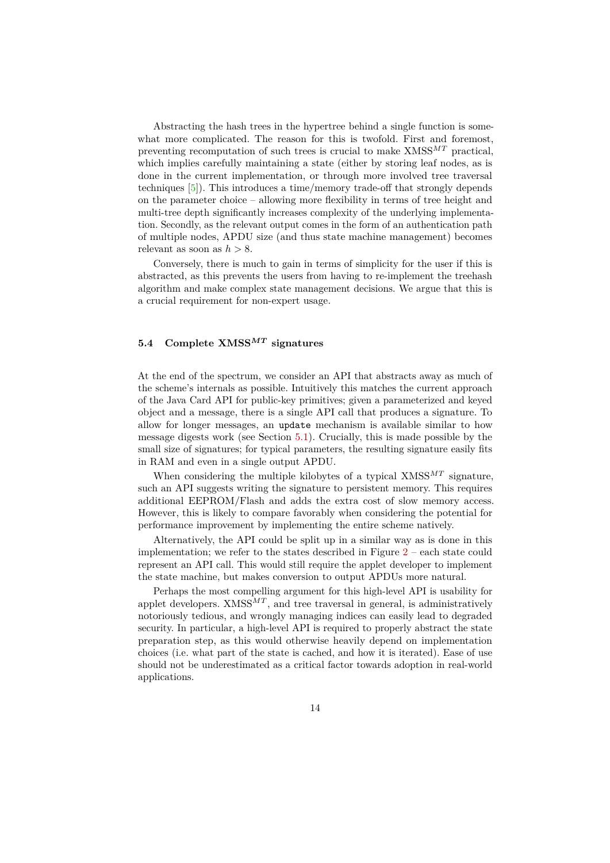<span id="page-13-1"></span>Abstracting the hash trees in the hypertree behind a single function is somewhat more complicated. The reason for this is twofold. First and foremost, preventing recomputation of such trees is crucial to make XMSS*MT* practical, which implies carefully maintaining a state (either by storing leaf nodes, as is done in the current implementation, or through more involved tree traversal techniques [\[5\]](#page-14-2)). This introduces a time/memory trade-off that strongly depends on the parameter choice – allowing more flexibility in terms of tree height and multi-tree depth significantly increases complexity of the underlying implementation. Secondly, as the relevant output comes in the form of an authentication path of multiple nodes, APDU size (and thus state machine management) becomes relevant as soon as  $h > 8$ .

Conversely, there is much to gain in terms of simplicity for the user if this is abstracted, as this prevents the users from having to re-implement the treehash algorithm and make complex state management decisions. We argue that this is a crucial requirement for non-expert usage.

# <span id="page-13-0"></span>**5.4 Complete XMSS***MT* **signatures**

At the end of the spectrum, we consider an API that abstracts away as much of the scheme's internals as possible. Intuitively this matches the current approach of the Java Card API for public-key primitives; given a parameterized and keyed object and a message, there is a single API call that produces a signature. To allow for longer messages, an update mechanism is available similar to how message digests work (see Section [5.1\)](#page-11-1). Crucially, this is made possible by the small size of signatures; for typical parameters, the resulting signature easily fits in RAM and even in a single output APDU.

When considering the multiple kilobytes of a typical  $XMSS^{MT}$  signature, such an API suggests writing the signature to persistent memory. This requires additional EEPROM/Flash and adds the extra cost of slow memory access. However, this is likely to compare favorably when considering the potential for performance improvement by implementing the entire scheme natively.

Alternatively, the API could be split up in a similar way as is done in this implementation; we refer to the states described in Figure [2](#page-7-0) – each state could represent an API call. This would still require the applet developer to implement the state machine, but makes conversion to output APDUs more natural.

Perhaps the most compelling argument for this high-level API is usability for applet developers.  $XMSS^{MT}$ , and tree traversal in general, is administratively notoriously tedious, and wrongly managing indices can easily lead to degraded security. In particular, a high-level API is required to properly abstract the state preparation step, as this would otherwise heavily depend on implementation choices (i.e. what part of the state is cached, and how it is iterated). Ease of use should not be underestimated as a critical factor towards adoption in real-world applications.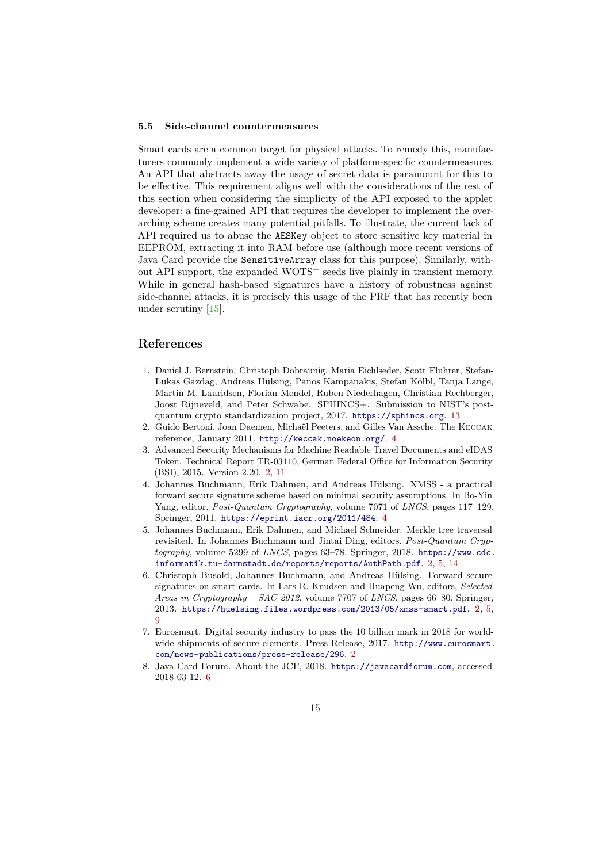#### <span id="page-14-8"></span>**5.5 Side-channel countermeasures**

Smart cards are a common target for physical attacks. To remedy this, manufacturers commonly implement a wide variety of platform-specific countermeasures. An API that abstracts away the usage of secret data is paramount for this to be effective. This requirement aligns well with the considerations of the rest of this section when considering the simplicity of the API exposed to the applet developer: a fine-grained API that requires the developer to implement the overarching scheme creates many potential pitfalls. To illustrate, the current lack of API required us to abuse the AESKey object to store sensitive key material in EEPROM, extracting it into RAM before use (although more recent versions of Java Card provide the SensitiveArray class for this purpose). Similarly, without API support, the expanded WOTS<sup>+</sup> seeds live plainly in transient memory. While in general hash-based signatures have a history of robustness against side-channel attacks, it is precisely this usage of the PRF that has recently been under scrutiny [\[15\]](#page-15-11).

# **References**

- <span id="page-14-7"></span>1. Daniel J. Bernstein, Christoph Dobraunig, Maria Eichlseder, Scott Fluhrer, Stefan-Lukas Gazdag, Andreas Hülsing, Panos Kampanakis, Stefan Kölbl, Tanja Lange, Martin M. Lauridsen, Florian Mendel, Ruben Niederhagen, Christian Rechberger, Joost Rijneveld, and Peter Schwabe. SPHINCS+. Submission to NIST's postquantum crypto standardization project, 2017. <https://sphincs.org>. [13](#page-12-0)
- <span id="page-14-5"></span>2. Guido Bertoni, Joan Daemen, Michaël Peeters, and Gilles Van Assche. The Keccak reference, January 2011. <http://keccak.noekeon.org/>. [4](#page-3-2)
- <span id="page-14-3"></span>3. Advanced Security Mechanisms for Machine Readable Travel Documents and eIDAS Token. Technical Report TR-03110, German Federal Office for Information Security (BSI), 2015. Version 2.20. [2,](#page-1-2) [11](#page-10-3)
- <span id="page-14-4"></span>4. Johannes Buchmann, Erik Dahmen, and Andreas Hülsing. XMSS - a practical forward secure signature scheme based on minimal security assumptions. In Bo-Yin Yang, editor, *Post-Quantum Cryptography*, volume 7071 of *LNCS*, pages 117–129. Springer, 2011. <https://eprint.iacr.org/2011/484>. [4](#page-3-2)
- <span id="page-14-2"></span>5. Johannes Buchmann, Erik Dahmen, and Michael Schneider. Merkle tree traversal revisited. In Johannes Buchmann and Jintai Ding, editors, *Post-Quantum Cryptography*, volume 5299 of *LNCS*, pages 63–78. Springer, 2018. [https://www.cdc.](https://www.cdc.informatik.tu-darmstadt.de/reports/reports/AuthPath.pdf) [informatik.tu-darmstadt.de/reports/reports/AuthPath.pdf](https://www.cdc.informatik.tu-darmstadt.de/reports/reports/AuthPath.pdf). [2,](#page-1-2) [5,](#page-4-1) [14](#page-13-1)
- <span id="page-14-1"></span>6. Christoph Busold, Johannes Buchmann, and Andreas Hülsing. Forward secure signatures on smart cards. In Lars R. Knudsen and Huapeng Wu, editors, *Selected Areas in Cryptography – SAC 2012*, volume 7707 of *LNCS*, pages 66–80. Springer, 2013. <https://huelsing.files.wordpress.com/2013/05/xmss-smart.pdf>. [2,](#page-1-2) [5,](#page-4-1) [9](#page-8-2)
- <span id="page-14-0"></span>7. Eurosmart. Digital security industry to pass the 10 billion mark in 2018 for worldwide shipments of secure elements. Press Release, 2017. [http://www.eurosmart.](http://www.eurosmart.com/news-publications/press-release/296) [com/news-publications/press-release/296](http://www.eurosmart.com/news-publications/press-release/296). [2](#page-1-2)
- <span id="page-14-6"></span>8. Java Card Forum. About the JCF, 2018. <https://javacardforum.com>, accessed 2018-03-12. [6](#page-5-2)